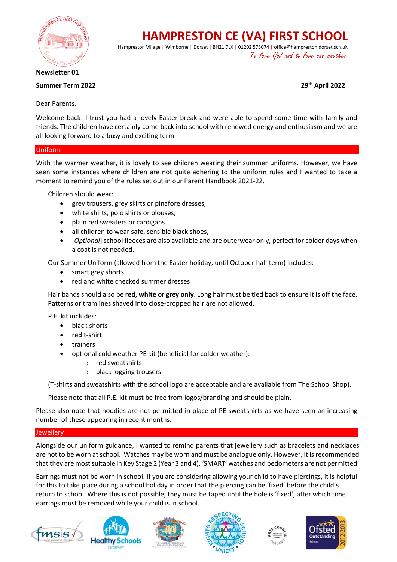

# **HAMPRESTON CE (VA) FIRST SCHOOL**

Hampreston Village | Wimborne | Dorset | BH21 7LX | 01202 573074 | office@hampreston.dorset.sch.uk To love God and to love one another

**Newsletter 01**

# **Summer Term 2022 29th April 2022**

Dear Parents,

Welcome back! I trust you had a lovely Easter break and were able to spend some time with family and friends. The children have certainly come back into school with renewed energy and enthusiasm and we are all looking forward to a busy and exciting term.

### Uniform

With the warmer weather, it is lovely to see children wearing their summer uniforms. However, we have seen some instances where children are not quite adhering to the uniform rules and I wanted to take a moment to remind you of the rules set out in our Parent Handbook 2021-22.

Children should wear:

- grey trousers, grey skirts or pinafore dresses,
- white shirts, polo shirts or blouses,
- plain red sweaters or cardigans
- all children to wear safe, sensible black shoes,
- [*Optional*] school fleeces are also available and are outerwear only, perfect for colder days when a coat is not needed.

Our Summer Uniform (allowed from the Easter holiday, until October half term) includes:

- smart grey shorts
- red and white checked summer dresses

Hair bands should also be **red, white or grey only**. Long hair must be tied back to ensure it is off the face. Patterns or tramlines shaved into close-cropped hair are not allowed.

P.E. kit includes:

- black shorts
- red t-shirt
- trainers
- optional cold weather PE kit (beneficial for colder weather):
	- o red sweatshirts
	- o black jogging trousers

(T-shirts and sweatshirts with the school logo are acceptable and are available from The School Shop).

Please note that all P.E. kit must be free from logos/branding and should be plain.

Please also note that hoodies are not permitted in place of PE sweatshirts as we have seen an increasing number of these appearing in recent months.

## Jewellery

Alongside our uniform guidance, I wanted to remind parents that jewellery such as bracelets and necklaces are not to be worn at school. Watches may be worn and must be analogue only. However, it is recommended that they are most suitable in Key Stage 2 (Year 3 and 4). 'SMART' watches and pedometers are not permitted.

Earrings must not be worn in school. If you are considering allowing your child to have piercings, it is helpful for this to take place during a school holiday in order that the piercing can be 'fixed' before the child's return to school. Where this is not possible, they must be taped until the hole is 'fixed', after which time earrings must be removed while your child is in school.









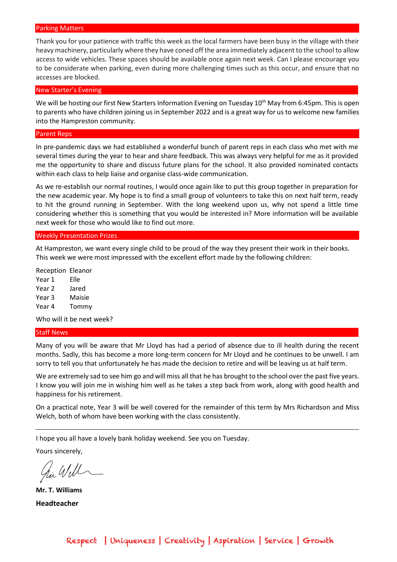#### Parking Matters

Thank you for your patience with traffic this week as the local farmers have been busy in the village with their heavy machinery, particularly where they have coned off the area immediately adjacent to the school to allow access to wide vehicles. These spaces should be available once again next week. Can I please encourage you to be considerate when parking, even during more challenging times such as this occur, and ensure that no accesses are blocked.

#### New Starter's Evening

We will be hosting our first New Starters Information Evening on Tuesday 10<sup>th</sup> May from 6:45pm. This is open to parents who have children joining us in September 2022 and is a great way for us to welcome new families into the Hampreston community.

#### Parent Reps

In pre-pandemic days we had established a wonderful bunch of parent reps in each class who met with me several times during the year to hear and share feedback. This was always very helpful for me as it provided me the opportunity to share and discuss future plans for the school. It also provided nominated contacts within each class to help liaise and organise class-wide communication.

As we re-establish our normal routines, I would once again like to put this group together in preparation for the new academic year. My hope is to find a small group of volunteers to take this on next half term, ready to hit the ground running in September. With the long weekend upon us, why not spend a little time considering whether this is something that you would be interested in? More information will be available next week for those who would like to find out more.

#### Weekly Presentation Prizes

At Hampreston, we want every single child to be proud of the way they present their work in their books. This week we were most impressed with the excellent effort made by the following children:

Reception Eleanor Year 1 Elle Year 2 Jared Year 3 Maisie Year 4 Tommy

Who will it be next week?

#### Staff News

Many of you will be aware that Mr Lloyd has had a period of absence due to ill health during the recent months. Sadly, this has become a more long-term concern for Mr Lloyd and he continues to be unwell. I am sorry to tell you that unfortunately he has made the decision to retire and will be leaving us at half term.

We are extremely sad to see him go and will miss all that he has brought to the school over the past five years. I know you will join me in wishing him well as he takes a step back from work, along with good health and happiness for his retirement.

On a practical note, Year 3 will be well covered for the remainder of this term by Mrs Richardson and Miss Welch, both of whom have been working with the class consistently.

I hope you all have a lovely bank holiday weekend. See you on Tuesday.

Yours sincerely,

hi Will

**Mr. T. Williams Headteacher**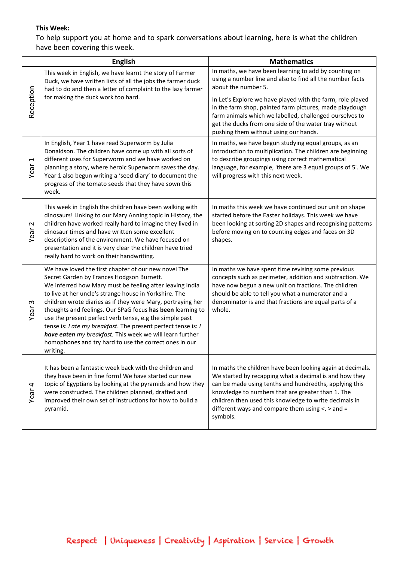## **This Week:**

To help support you at home and to spark conversations about learning, here is what the children have been covering this week.

|                                  | <b>English</b>                                                                                                                                                                                                                                                                                                                                                                                                                                                                                                                                                                                                     | <b>Mathematics</b>                                                                                                                                                                                                                                                                                                                                                                                                              |
|----------------------------------|--------------------------------------------------------------------------------------------------------------------------------------------------------------------------------------------------------------------------------------------------------------------------------------------------------------------------------------------------------------------------------------------------------------------------------------------------------------------------------------------------------------------------------------------------------------------------------------------------------------------|---------------------------------------------------------------------------------------------------------------------------------------------------------------------------------------------------------------------------------------------------------------------------------------------------------------------------------------------------------------------------------------------------------------------------------|
| Reception                        | This week in English, we have learnt the story of Farmer<br>Duck, we have written lists of all the jobs the farmer duck<br>had to do and then a letter of complaint to the lazy farmer<br>for making the duck work too hard.                                                                                                                                                                                                                                                                                                                                                                                       | In maths, we have been learning to add by counting on<br>using a number line and also to find all the number facts<br>about the number 5.<br>In Let's Explore we have played with the farm, role played<br>in the farm shop, painted farm pictures, made playdough<br>farm animals which we labelled, challenged ourselves to<br>get the ducks from one side of the water tray without<br>pushing them without using our hands. |
| $\overline{\phantom{0}}$<br>Year | In English, Year 1 have read Superworm by Julia<br>Donaldson. The children have come up with all sorts of<br>different uses for Superworm and we have worked on<br>planning a story, where heroic Superworm saves the day.<br>Year 1 also begun writing a 'seed diary' to document the<br>progress of the tomato seeds that they have sown this<br>week.                                                                                                                                                                                                                                                           | In maths, we have begun studying equal groups, as an<br>introduction to multiplication. The children are beginning<br>to describe groupings using correct mathematical<br>language, for example, 'there are 3 equal groups of 5'. We<br>will progress with this next week.                                                                                                                                                      |
| $\sim$<br>Year                   | This week in English the children have been walking with<br>dinosaurs! Linking to our Mary Anning topic in History, the<br>children have worked really hard to imagine they lived in<br>dinosaur times and have written some excellent<br>descriptions of the environment. We have focused on<br>presentation and it is very clear the children have tried<br>really hard to work on their handwriting.                                                                                                                                                                                                            | In maths this week we have continued our unit on shape<br>started before the Easter holidays. This week we have<br>been looking at sorting 2D shapes and recognising patterns<br>before moving on to counting edges and faces on 3D<br>shapes.                                                                                                                                                                                  |
| S<br>Year                        | We have loved the first chapter of our new novel The<br>Secret Garden by Frances Hodgson Burnett.<br>We inferred how Mary must be feeling after leaving India<br>to live at her uncle's strange house in Yorkshire. The<br>children wrote diaries as if they were Mary, portraying her<br>thoughts and feelings. Our SPaG focus has been learning to<br>use the present perfect verb tense, e.g the simple past<br>tense is: I ate my breakfast. The present perfect tense is: I<br>have eaten my breakfast. This week we will learn further<br>homophones and try hard to use the correct ones in our<br>writing. | In maths we have spent time revising some previous<br>concepts such as perimeter, addition and subtraction. We<br>have now begun a new unit on fractions. The children<br>should be able to tell you what a numerator and a<br>denominator is and that fractions are equal parts of a<br>whole.                                                                                                                                 |
| 4<br>Year                        | It has been a fantastic week back with the children and<br>they have been in fine form! We have started our new<br>topic of Egyptians by looking at the pyramids and how they<br>were constructed. The children planned, drafted and<br>improved their own set of instructions for how to build a<br>pyramid.                                                                                                                                                                                                                                                                                                      | In maths the children have been looking again at decimals.<br>We started by recapping what a decimal is and how they<br>can be made using tenths and hundredths, applying this<br>knowledge to numbers that are greater than 1. The<br>children then used this knowledge to write decimals in<br>different ways and compare them using $\lt$ , $>$ and =<br>symbols.                                                            |